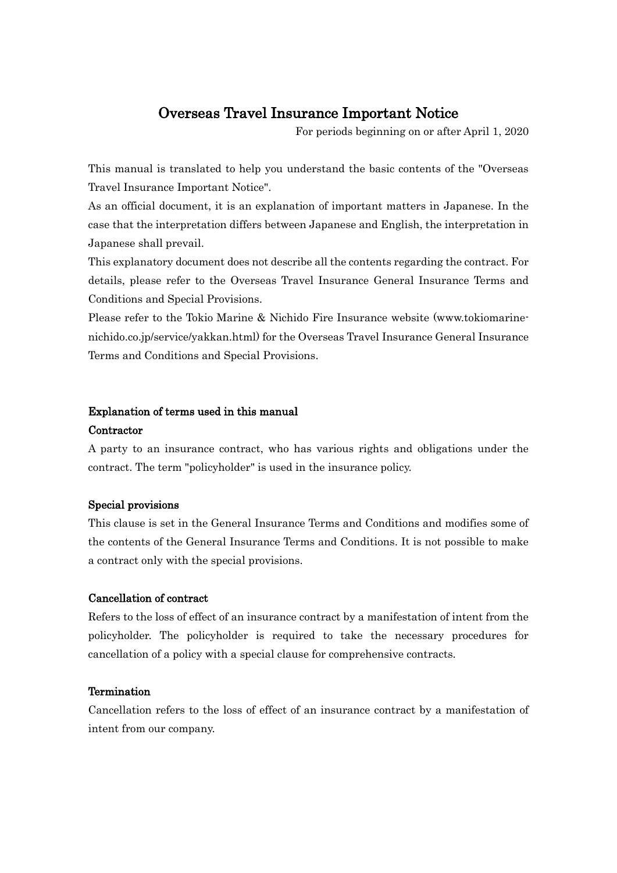# Overseas Travel Insurance Important Notice

For periods beginning on or after April 1, 2020

This manual is translated to help you understand the basic contents of the "Overseas Travel Insurance Important Notice".

As an official document, it is an explanation of important matters in Japanese. In the case that the interpretation differs between Japanese and English, the interpretation in Japanese shall prevail.

This explanatory document does not describe all the contents regarding the contract. For details, please refer to the Overseas Travel Insurance General Insurance Terms and Conditions and Special Provisions.

Please refer to the Tokio Marine & Nichido Fire Insurance website (www.tokiomarinenichido.co.jp/service/yakkan.html) for the Overseas Travel Insurance General Insurance Terms and Conditions and Special Provisions.

#### Explanation of terms used in this manual

#### **Contractor**

A party to an insurance contract, who has various rights and obligations under the contract. The term "policyholder" is used in the insurance policy.

#### Special provisions

This clause is set in the General Insurance Terms and Conditions and modifies some of the contents of the General Insurance Terms and Conditions. It is not possible to make a contract only with the special provisions.

### Cancellation of contract

Refers to the loss of effect of an insurance contract by a manifestation of intent from the policyholder. The policyholder is required to take the necessary procedures for cancellation of a policy with a special clause for comprehensive contracts.

#### Termination

Cancellation refers to the loss of effect of an insurance contract by a manifestation of intent from our company.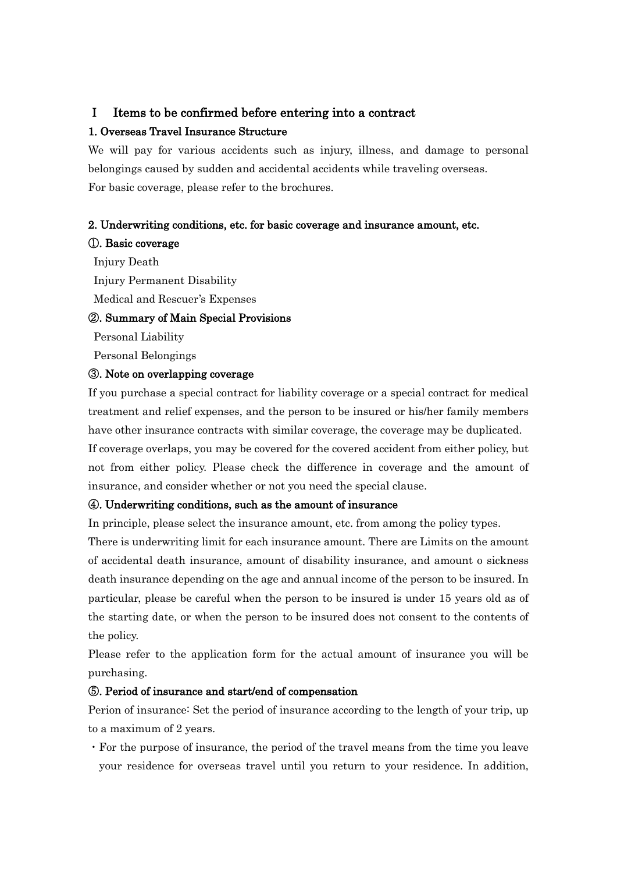### Ⅰ Items to be confirmed before entering into a contract

### 1. Overseas Travel Insurance Structure

We will pay for various accidents such as injury, illness, and damage to personal belongings caused by sudden and accidental accidents while traveling overseas. For basic coverage, please refer to the brochures.

### 2. Underwriting conditions, etc. for basic coverage and insurance amount, etc.

#### ①. Basic coverage

Injury Death

Injury Permanent Disability

Medical and Rescuer's Expenses

#### ②. Summary of Main Special Provisions

Personal Liability

Personal Belongings

#### ③. Note on overlapping coverage

If you purchase a special contract for liability coverage or a special contract for medical treatment and relief expenses, and the person to be insured or his/her family members have other insurance contracts with similar coverage, the coverage may be duplicated. If coverage overlaps, you may be covered for the covered accident from either policy, but not from either policy. Please check the difference in coverage and the amount of insurance, and consider whether or not you need the special clause.

### ④. Underwriting conditions, such as the amount of insurance

In principle, please select the insurance amount, etc. from among the policy types.

There is underwriting limit for each insurance amount. There are Limits on the amount of accidental death insurance, amount of disability insurance, and amount o sickness death insurance depending on the age and annual income of the person to be insured. In particular, please be careful when the person to be insured is under 15 years old as of the starting date, or when the person to be insured does not consent to the contents of the policy.

Please refer to the application form for the actual amount of insurance you will be purchasing.

### ⑤. Period of insurance and start/end of compensation

Perion of insurance: Set the period of insurance according to the length of your trip, up to a maximum of 2 years.

・For the purpose of insurance, the period of the travel means from the time you leave your residence for overseas travel until you return to your residence. In addition,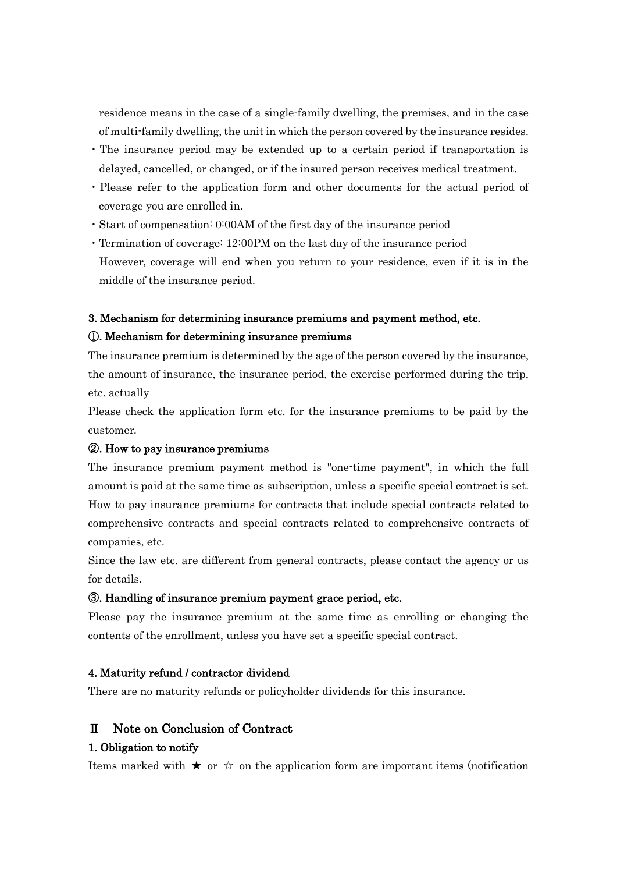residence means in the case of a single-family dwelling, the premises, and in the case of multi-family dwelling, the unit in which the person covered by the insurance resides.

- ・The insurance period may be extended up to a certain period if transportation is delayed, cancelled, or changed, or if the insured person receives medical treatment.
- ・Please refer to the application form and other documents for the actual period of coverage you are enrolled in.
- ・Start of compensation: 0:00AM of the first day of the insurance period
- ・Termination of coverage: 12:00PM on the last day of the insurance period However, coverage will end when you return to your residence, even if it is in the middle of the insurance period.

# 3. Mechanism for determining insurance premiums and payment method, etc. ①. Mechanism for determining insurance premiums

The insurance premium is determined by the age of the person covered by the insurance, the amount of insurance, the insurance period, the exercise performed during the trip, etc. actually

Please check the application form etc. for the insurance premiums to be paid by the customer.

### ②. How to pay insurance premiums

The insurance premium payment method is "one-time payment", in which the full amount is paid at the same time as subscription, unless a specific special contract is set. How to pay insurance premiums for contracts that include special contracts related to comprehensive contracts and special contracts related to comprehensive contracts of companies, etc.

Since the law etc. are different from general contracts, please contact the agency or us for details.

### ③. Handling of insurance premium payment grace period, etc.

Please pay the insurance premium at the same time as enrolling or changing the contents of the enrollment, unless you have set a specific special contract.

### 4. Maturity refund / contractor dividend

There are no maturity refunds or policyholder dividends for this insurance.

### Ⅱ Note on Conclusion of Contract

### 1. Obligation to notify

Items marked with  $\star$  or  $\hat{\star}$  on the application form are important items (notification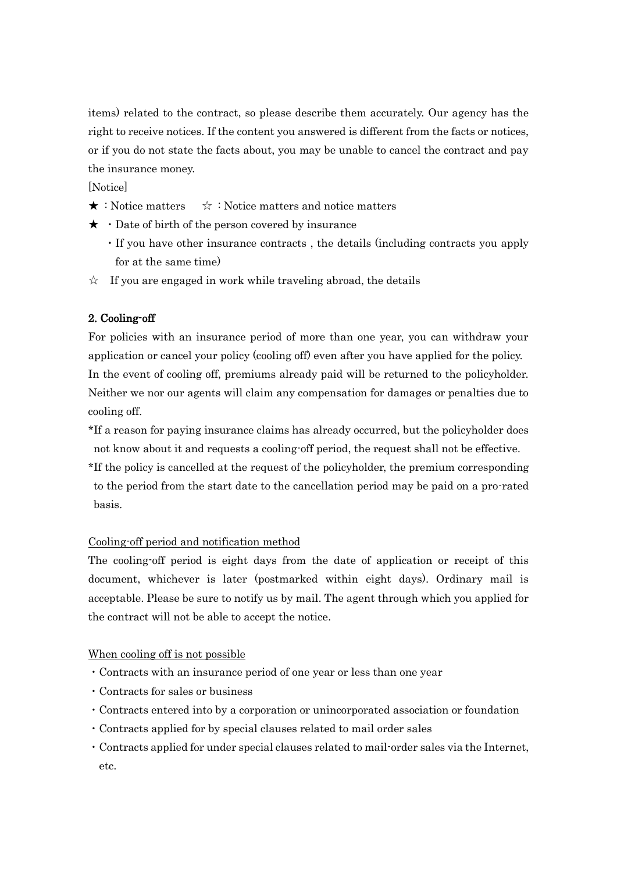items) related to the contract, so please describe them accurately. Our agency has the right to receive notices. If the content you answered is different from the facts or notices, or if you do not state the facts about, you may be unable to cancel the contract and pay the insurance money.

[Notice]

- ★ : Notice matters ☆ : Notice matters and notice matters
- $\star \cdot$  Date of birth of the person covered by insurance
	- ・If you have other insurance contracts , the details (including contracts you apply for at the same time)
- $\hat{\mathcal{A}}$  If you are engaged in work while traveling abroad, the details

### 2. Cooling-off

For policies with an insurance period of more than one year, you can withdraw your application or cancel your policy (cooling off) even after you have applied for the policy. In the event of cooling off, premiums already paid will be returned to the policyholder. Neither we nor our agents will claim any compensation for damages or penalties due to cooling off.

- \*If a reason for paying insurance claims has already occurred, but the policyholder does not know about it and requests a cooling-off period, the request shall not be effective.
- \*If the policy is cancelled at the request of the policyholder, the premium corresponding to the period from the start date to the cancellation period may be paid on a pro-rated basis.

#### Cooling-off period and notification method

The cooling-off period is eight days from the date of application or receipt of this document, whichever is later (postmarked within eight days). Ordinary mail is acceptable. Please be sure to notify us by mail. The agent through which you applied for the contract will not be able to accept the notice.

#### When cooling off is not possible

- ・Contracts with an insurance period of one year or less than one year
- ・Contracts for sales or business
- ・Contracts entered into by a corporation or unincorporated association or foundation
- ・Contracts applied for by special clauses related to mail order sales
- ・Contracts applied for under special clauses related to mail-order sales via the Internet, etc.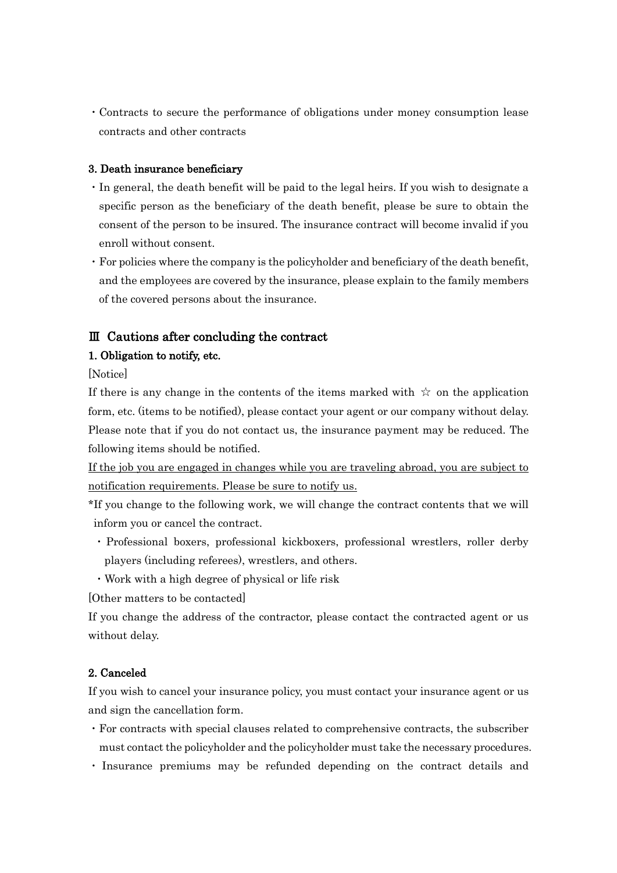・Contracts to secure the performance of obligations under money consumption lease contracts and other contracts

#### 3. Death insurance beneficiary

- ・In general, the death benefit will be paid to the legal heirs. If you wish to designate a specific person as the beneficiary of the death benefit, please be sure to obtain the consent of the person to be insured. The insurance contract will become invalid if you enroll without consent.
- ・For policies where the company is the policyholder and beneficiary of the death benefit, and the employees are covered by the insurance, please explain to the family members of the covered persons about the insurance.

### Ⅲ Cautions after concluding the contract

### 1. Obligation to notify, etc.

[Notice]

If there is any change in the contents of the items marked with  $\chi$  on the application form, etc. (items to be notified), please contact your agent or our company without delay. Please note that if you do not contact us, the insurance payment may be reduced. The following items should be notified.

If the job you are engaged in changes while you are traveling abroad, you are subject to notification requirements. Please be sure to notify us.

\*If you change to the following work, we will change the contract contents that we will inform you or cancel the contract.

- ・Professional boxers, professional kickboxers, professional wrestlers, roller derby players (including referees), wrestlers, and others.
- ・Work with a high degree of physical or life risk

[Other matters to be contacted]

If you change the address of the contractor, please contact the contracted agent or us without delay.

#### 2. Canceled

If you wish to cancel your insurance policy, you must contact your insurance agent or us and sign the cancellation form.

- ・For contracts with special clauses related to comprehensive contracts, the subscriber must contact the policyholder and the policyholder must take the necessary procedures.
- ・ Insurance premiums may be refunded depending on the contract details and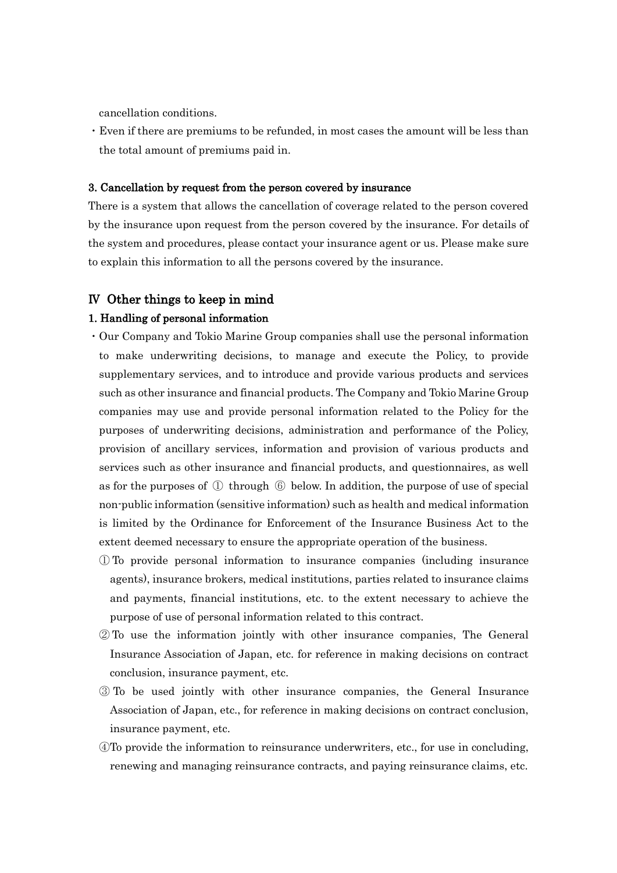cancellation conditions.

・Even if there are premiums to be refunded, in most cases the amount will be less than the total amount of premiums paid in.

#### 3. Cancellation by request from the person covered by insurance

There is a system that allows the cancellation of coverage related to the person covered by the insurance upon request from the person covered by the insurance. For details of the system and procedures, please contact your insurance agent or us. Please make sure to explain this information to all the persons covered by the insurance.

#### Ⅳ Other things to keep in mind

#### 1. Handling of personal information

- ・Our Company and Tokio Marine Group companies shall use the personal information to make underwriting decisions, to manage and execute the Policy, to provide supplementary services, and to introduce and provide various products and services such as other insurance and financial products. The Company and Tokio Marine Group companies may use and provide personal information related to the Policy for the purposes of underwriting decisions, administration and performance of the Policy, provision of ancillary services, information and provision of various products and services such as other insurance and financial products, and questionnaires, as well as for the purposes of ① through ⑥ below. In addition, the purpose of use of special non-public information (sensitive information) such as health and medical information is limited by the Ordinance for Enforcement of the Insurance Business Act to the extent deemed necessary to ensure the appropriate operation of the business.
	- ① To provide personal information to insurance companies (including insurance agents), insurance brokers, medical institutions, parties related to insurance claims and payments, financial institutions, etc. to the extent necessary to achieve the purpose of use of personal information related to this contract.
	- ② To use the information jointly with other insurance companies, The General Insurance Association of Japan, etc. for reference in making decisions on contract conclusion, insurance payment, etc.
	- ③ To be used jointly with other insurance companies, the General Insurance Association of Japan, etc., for reference in making decisions on contract conclusion, insurance payment, etc.
	- ④To provide the information to reinsurance underwriters, etc., for use in concluding, renewing and managing reinsurance contracts, and paying reinsurance claims, etc.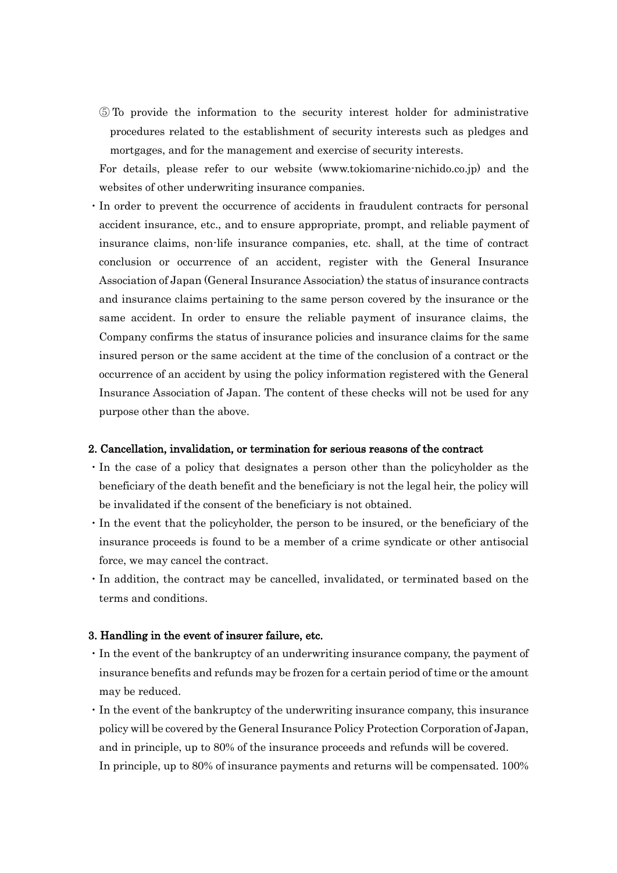⑤ To provide the information to the security interest holder for administrative procedures related to the establishment of security interests such as pledges and mortgages, and for the management and exercise of security interests.

For details, please refer to our website (www.tokiomarine-nichido.co.jp) and the websites of other underwriting insurance companies.

・In order to prevent the occurrence of accidents in fraudulent contracts for personal accident insurance, etc., and to ensure appropriate, prompt, and reliable payment of insurance claims, non-life insurance companies, etc. shall, at the time of contract conclusion or occurrence of an accident, register with the General Insurance Association of Japan (General Insurance Association) the status of insurance contracts and insurance claims pertaining to the same person covered by the insurance or the same accident. In order to ensure the reliable payment of insurance claims, the Company confirms the status of insurance policies and insurance claims for the same insured person or the same accident at the time of the conclusion of a contract or the occurrence of an accident by using the policy information registered with the General Insurance Association of Japan. The content of these checks will not be used for any purpose other than the above.

#### 2. Cancellation, invalidation, or termination for serious reasons of the contract

- ・In the case of a policy that designates a person other than the policyholder as the beneficiary of the death benefit and the beneficiary is not the legal heir, the policy will be invalidated if the consent of the beneficiary is not obtained.
- ・In the event that the policyholder, the person to be insured, or the beneficiary of the insurance proceeds is found to be a member of a crime syndicate or other antisocial force, we may cancel the contract.
- ・In addition, the contract may be cancelled, invalidated, or terminated based on the terms and conditions.

#### 3. Handling in the event of insurer failure, etc.

- ・In the event of the bankruptcy of an underwriting insurance company, the payment of insurance benefits and refunds may be frozen for a certain period of time or the amount may be reduced.
- ・In the event of the bankruptcy of the underwriting insurance company, this insurance policy will be covered by the General Insurance Policy Protection Corporation of Japan, and in principle, up to 80% of the insurance proceeds and refunds will be covered. In principle, up to 80% of insurance payments and returns will be compensated. 100%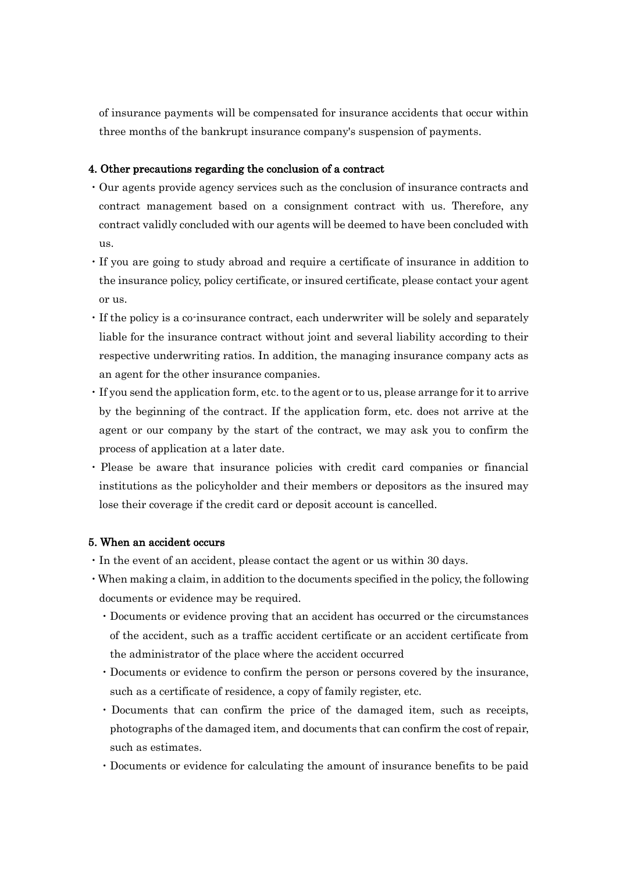of insurance payments will be compensated for insurance accidents that occur within three months of the bankrupt insurance company's suspension of payments.

#### 4. Other precautions regarding the conclusion of a contract

- ・Our agents provide agency services such as the conclusion of insurance contracts and contract management based on a consignment contract with us. Therefore, any contract validly concluded with our agents will be deemed to have been concluded with us.
- ・If you are going to study abroad and require a certificate of insurance in addition to the insurance policy, policy certificate, or insured certificate, please contact your agent or us.
- ・If the policy is a co-insurance contract, each underwriter will be solely and separately liable for the insurance contract without joint and several liability according to their respective underwriting ratios. In addition, the managing insurance company acts as an agent for the other insurance companies.
- ・If you send the application form, etc. to the agent or to us, please arrange for it to arrive by the beginning of the contract. If the application form, etc. does not arrive at the agent or our company by the start of the contract, we may ask you to confirm the process of application at a later date.
- ・Please be aware that insurance policies with credit card companies or financial institutions as the policyholder and their members or depositors as the insured may lose their coverage if the credit card or deposit account is cancelled.

### 5. When an accident occurs

- ・In the event of an accident, please contact the agent or us within 30 days.
- ・When making a claim, in addition to the documents specified in the policy, the following documents or evidence may be required.
	- ・Documents or evidence proving that an accident has occurred or the circumstances of the accident, such as a traffic accident certificate or an accident certificate from the administrator of the place where the accident occurred
	- ・Documents or evidence to confirm the person or persons covered by the insurance, such as a certificate of residence, a copy of family register, etc.
	- ・Documents that can confirm the price of the damaged item, such as receipts, photographs of the damaged item, and documents that can confirm the cost of repair, such as estimates.
	- ・Documents or evidence for calculating the amount of insurance benefits to be paid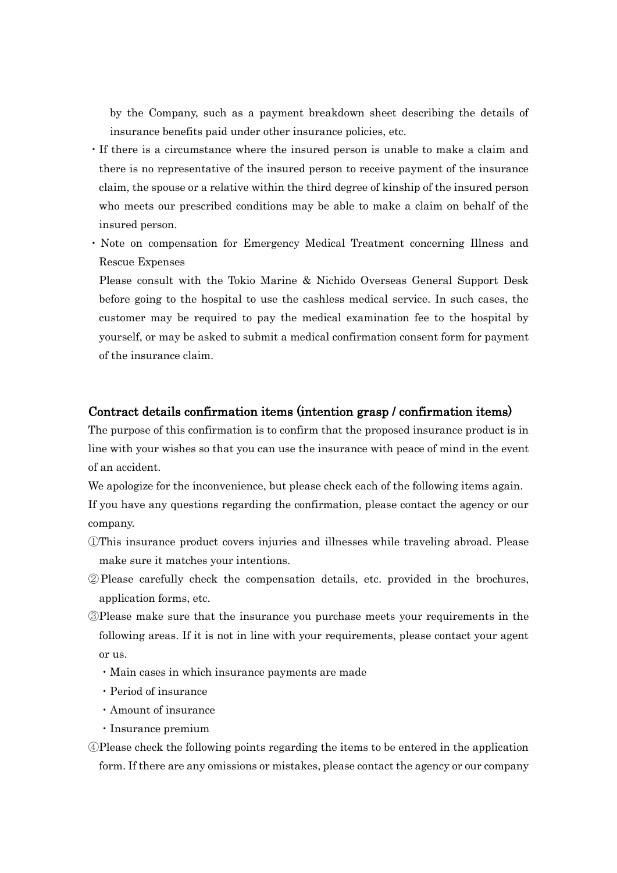by the Company, such as a payment breakdown sheet describing the details of insurance benefits paid under other insurance policies, etc.

- ・If there is a circumstance where the insured person is unable to make a claim and there is no representative of the insured person to receive payment of the insurance claim, the spouse or a relative within the third degree of kinship of the insured person who meets our prescribed conditions may be able to make a claim on behalf of the insured person.
- ・Note on compensation for Emergency Medical Treatment concerning Illness and Rescue Expenses

Please consult with the Tokio Marine & Nichido Overseas General Support Desk before going to the hospital to use the cashless medical service. In such cases, the customer may be required to pay the medical examination fee to the hospital by yourself, or may be asked to submit a medical confirmation consent form for payment of the insurance claim.

### Contract details confirmation items (intention grasp / confirmation items)

The purpose of this confirmation is to confirm that the proposed insurance product is in line with your wishes so that you can use the insurance with peace of mind in the event of an accident.

We apologize for the inconvenience, but please check each of the following items again.

If you have any questions regarding the confirmation, please contact the agency or our company.

- ①This insurance product covers injuries and illnesses while traveling abroad. Please make sure it matches your intentions.
- ②Please carefully check the compensation details, etc. provided in the brochures, application forms, etc.
- ③Please make sure that the insurance you purchase meets your requirements in the following areas. If it is not in line with your requirements, please contact your agent or us.
	- ・Main cases in which insurance payments are made
	- ・Period of insurance
	- ・Amount of insurance
	- ・Insurance premium
- ④Please check the following points regarding the items to be entered in the application form. If there are any omissions or mistakes, please contact the agency or our company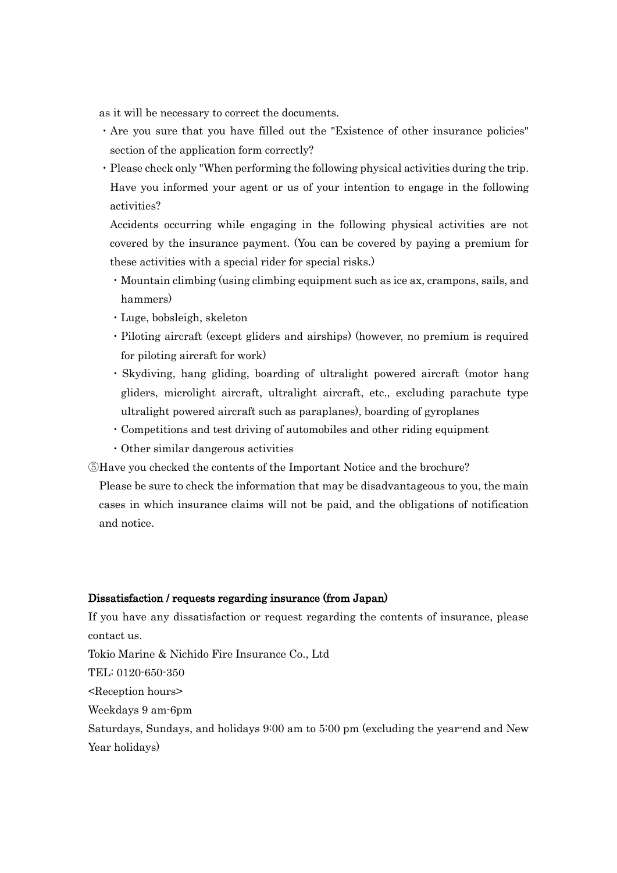as it will be necessary to correct the documents.

- ・Are you sure that you have filled out the "Existence of other insurance policies" section of the application form correctly?
- ・Please check only "When performing the following physical activities during the trip. Have you informed your agent or us of your intention to engage in the following activities?

Accidents occurring while engaging in the following physical activities are not covered by the insurance payment. (You can be covered by paying a premium for these activities with a special rider for special risks.)

- ・Mountain climbing (using climbing equipment such as ice ax, crampons, sails, and hammers)
- ・Luge, bobsleigh, skeleton
- ・Piloting aircraft (except gliders and airships) (however, no premium is required for piloting aircraft for work)
- ・Skydiving, hang gliding, boarding of ultralight powered aircraft (motor hang gliders, microlight aircraft, ultralight aircraft, etc., excluding parachute type ultralight powered aircraft such as paraplanes), boarding of gyroplanes
- ・Competitions and test driving of automobiles and other riding equipment
- ・Other similar dangerous activities

⑤Have you checked the contents of the Important Notice and the brochure?

Please be sure to check the information that may be disadvantageous to you, the main cases in which insurance claims will not be paid, and the obligations of notification and notice.

#### Dissatisfaction / requests regarding insurance (from Japan)

If you have any dissatisfaction or request regarding the contents of insurance, please contact us.

Tokio Marine & Nichido Fire Insurance Co., Ltd

TEL: 0120-650-350

<Reception hours>

Weekdays 9 am-6pm

Saturdays, Sundays, and holidays 9:00 am to 5:00 pm (excluding the year-end and New Year holidays)